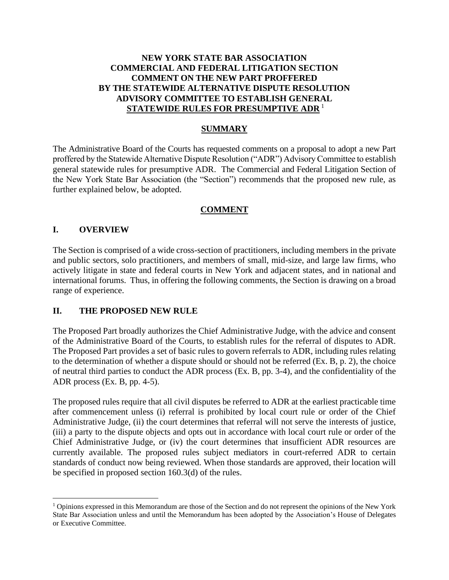# **NEW YORK STATE BAR ASSOCIATION COMMERCIAL AND FEDERAL LITIGATION SECTION COMMENT ON THE NEW PART PROFFERED BY THE STATEWIDE ALTERNATIVE DISPUTE RESOLUTION ADVISORY COMMITTEE TO ESTABLISH GENERAL STATEWIDE RULES FOR PRESUMPTIVE ADR** <sup>1</sup>

### **SUMMARY**

The Administrative Board of the Courts has requested comments on a proposal to adopt a new Part proffered by the Statewide Alternative Dispute Resolution ("ADR") Advisory Committee to establish general statewide rules for presumptive ADR. The Commercial and Federal Litigation Section of the New York State Bar Association (the "Section") recommends that the proposed new rule, as further explained below, be adopted.

#### **COMMENT**

#### **I. OVERVIEW**

The Section is comprised of a wide cross-section of practitioners, including members in the private and public sectors, solo practitioners, and members of small, mid-size, and large law firms, who actively litigate in state and federal courts in New York and adjacent states, and in national and international forums. Thus, in offering the following comments, the Section is drawing on a broad range of experience.

#### **II. THE PROPOSED NEW RULE**

The Proposed Part broadly authorizes the Chief Administrative Judge, with the advice and consent of the Administrative Board of the Courts, to establish rules for the referral of disputes to ADR. The Proposed Part provides a set of basic rules to govern referrals to ADR, including rules relating to the determination of whether a dispute should or should not be referred (Ex. B, p. 2), the choice of neutral third parties to conduct the ADR process (Ex. B, pp. 3-4), and the confidentiality of the ADR process (Ex. B, pp. 4-5).

The proposed rules require that all civil disputes be referred to ADR at the earliest practicable time after commencement unless (i) referral is prohibited by local court rule or order of the Chief Administrative Judge, (ii) the court determines that referral will not serve the interests of justice, (iii) a party to the dispute objects and opts out in accordance with local court rule or order of the Chief Administrative Judge, or (iv) the court determines that insufficient ADR resources are currently available. The proposed rules subject mediators in court-referred ADR to certain standards of conduct now being reviewed. When those standards are approved, their location will be specified in proposed section 160.3(d) of the rules.

<sup>1</sup> Opinions expressed in this Memorandum are those of the Section and do not represent the opinions of the New York State Bar Association unless and until the Memorandum has been adopted by the Association's House of Delegates or Executive Committee.